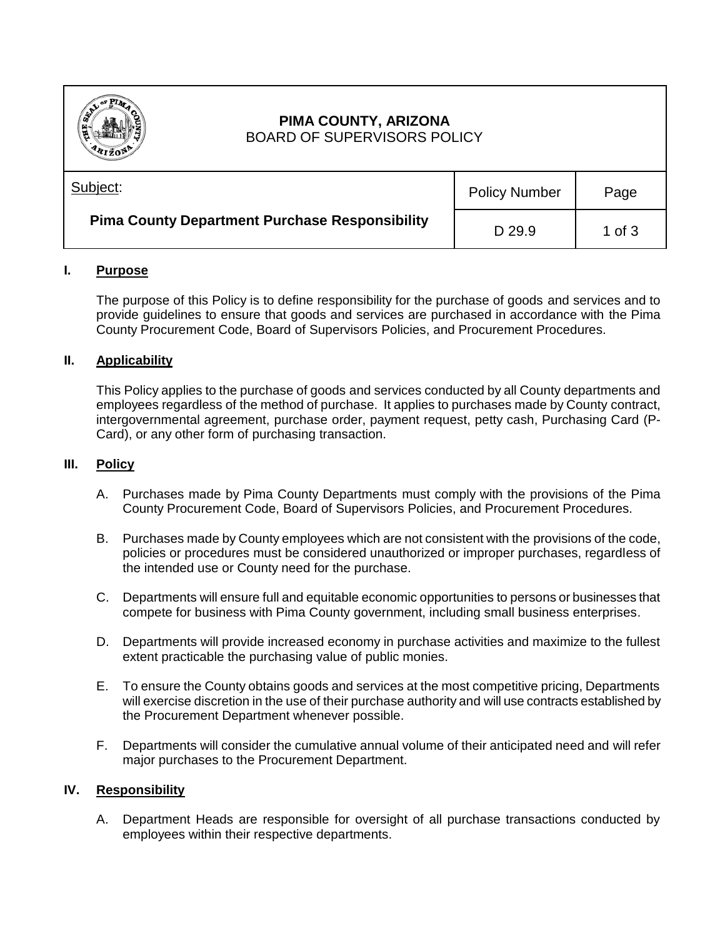

# **PIMA COUNTY, ARIZONA** BOARD OF SUPERVISORS POLICY

| Subject:                                              | <b>Policy Number</b> | Page     |
|-------------------------------------------------------|----------------------|----------|
| <b>Pima County Department Purchase Responsibility</b> | D 29.9               | 1 of $3$ |

## **I. Purpose**

The purpose of this Policy is to define responsibility for the purchase of goods and services and to provide guidelines to ensure that goods and services are purchased in accordance with the Pima County Procurement Code, Board of Supervisors Policies, and Procurement Procedures.

### **II. Applicability**

This Policy applies to the purchase of goods and services conducted by all County departments and employees regardless of the method of purchase. It applies to purchases made by County contract, intergovernmental agreement, purchase order, payment request, petty cash, Purchasing Card (P-Card), or any other form of purchasing transaction.

#### **III. Policy**

- A. Purchases made by Pima County Departments must comply with the provisions of the Pima County Procurement Code, Board of Supervisors Policies, and Procurement Procedures.
- B. Purchases made by County employees which are not consistent with the provisions of the code, policies or procedures must be considered unauthorized or improper purchases, regardless of the intended use or County need for the purchase.
- C. Departments will ensure full and equitable economic opportunities to persons or businesses that compete for business with Pima County government, including small business enterprises.
- D. Departments will provide increased economy in purchase activities and maximize to the fullest extent practicable the purchasing value of public monies.
- E. To ensure the County obtains goods and services at the most competitive pricing, Departments will exercise discretion in the use of their purchase authority and will use contracts established by the Procurement Department whenever possible.
- F. Departments will consider the cumulative annual volume of their anticipated need and will refer major purchases to the Procurement Department.

#### **IV. Responsibility**

A. Department Heads are responsible for oversight of all purchase transactions conducted by employees within their respective departments.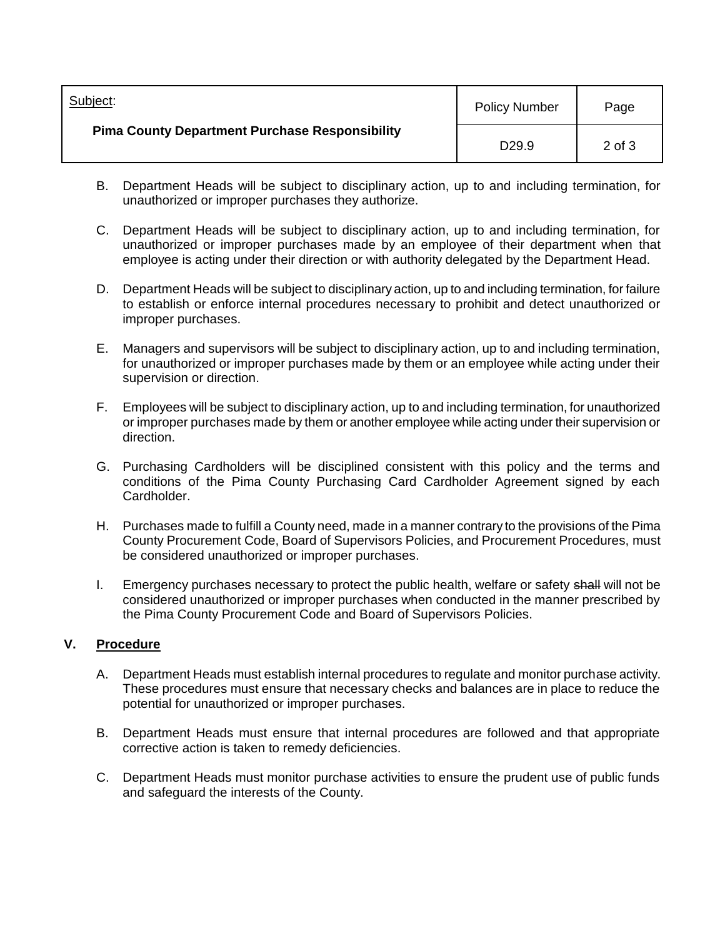| Subject:<br><b>Pima County Department Purchase Responsibility</b> | <b>Policy Number</b> | Page   |
|-------------------------------------------------------------------|----------------------|--------|
|                                                                   | D <sub>29.9</sub>    | 2 of 3 |

- B. Department Heads will be subject to disciplinary action, up to and including termination, for unauthorized or improper purchases they authorize.
- C. Department Heads will be subject to disciplinary action, up to and including termination, for unauthorized or improper purchases made by an employee of their department when that employee is acting under their direction or with authority delegated by the Department Head.
- D. Department Heads will be subject to disciplinary action, up to and including termination, for failure to establish or enforce internal procedures necessary to prohibit and detect unauthorized or improper purchases.
- E. Managers and supervisors will be subject to disciplinary action, up to and including termination, for unauthorized or improper purchases made by them or an employee while acting under their supervision or direction.
- F. Employees will be subject to disciplinary action, up to and including termination, for unauthorized or improper purchases made by them or another employee while acting under their supervision or direction.
- G. Purchasing Cardholders will be disciplined consistent with this policy and the terms and conditions of the Pima County Purchasing Card Cardholder Agreement signed by each Cardholder.
- H. Purchases made to fulfill a County need, made in a manner contrary to the provisions of the Pima County Procurement Code, Board of Supervisors Policies, and Procurement Procedures, must be considered unauthorized or improper purchases.
- I. Emergency purchases necessary to protect the public health, welfare or safety shall will not be considered unauthorized or improper purchases when conducted in the manner prescribed by the Pima County Procurement Code and Board of Supervisors Policies.

## **V. Procedure**

- A. Department Heads must establish internal procedures to regulate and monitor purchase activity. These procedures must ensure that necessary checks and balances are in place to reduce the potential for unauthorized or improper purchases.
- B. Department Heads must ensure that internal procedures are followed and that appropriate corrective action is taken to remedy deficiencies.
- C. Department Heads must monitor purchase activities to ensure the prudent use of public funds and safeguard the interests of the County.